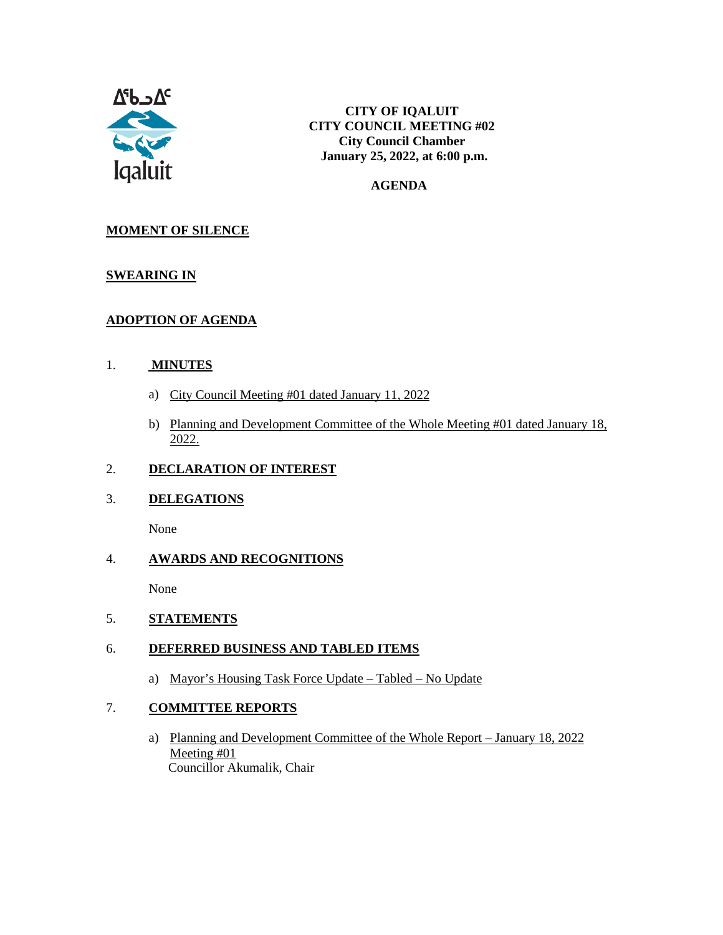

#### **AGENDA**

#### **MOMENT OF SILENCE**

#### **SWEARING IN**

#### **ADOPTION OF AGENDA**

#### 1. **MINUTES**

- a) City Council Meeting #01 dated January 11, 2022
- b) Planning and Development Committee of the Whole Meeting #01 dated January 18, 2022.

### 2. **DECLARATION OF INTEREST**

#### 3. **DELEGATIONS**

None

#### 4. **AWARDS AND RECOGNITIONS**

None

5. **STATEMENTS**

#### 6. **DEFERRED BUSINESS AND TABLED ITEMS**

a) Mayor's Housing Task Force Update – Tabled – No Update

#### 7. **COMMITTEE REPORTS**

a) Planning and Development Committee of the Whole Report – January 18, 2022 Meeting #01 Councillor Akumalik, Chair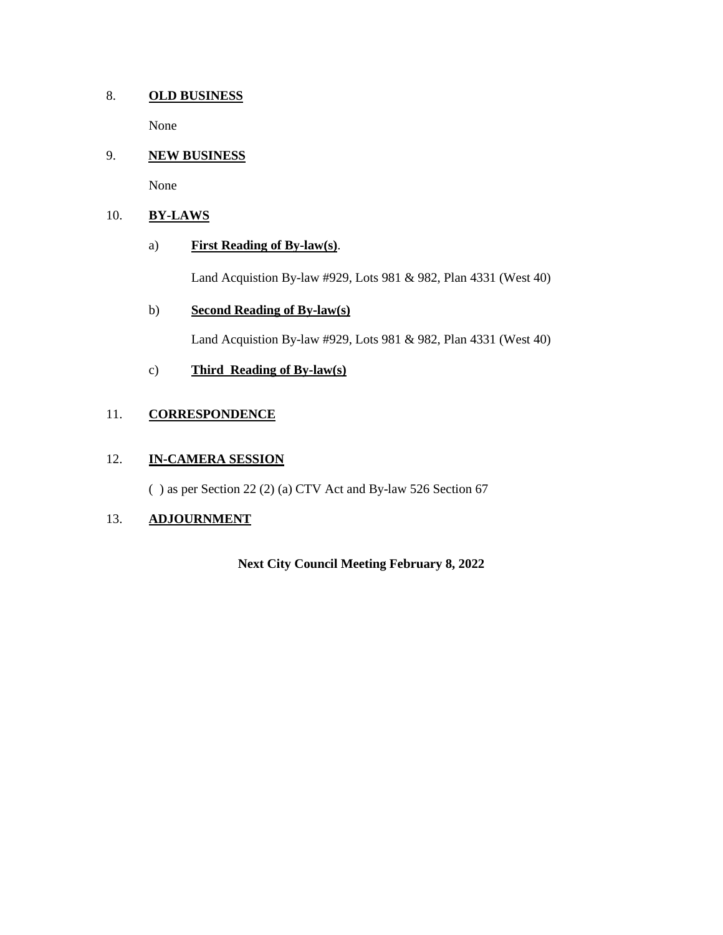#### 8. **OLD BUSINESS**

None

#### 9. **NEW BUSINESS**

None

#### 10. **BY-LAWS**

#### a) **First Reading of By-law(s)**.

Land Acquistion By-law #929, Lots 981 & 982, Plan 4331 (West 40)

#### b) **Second Reading of By-law(s)**

Land Acquistion By-law #929, Lots 981 & 982, Plan 4331 (West 40)

#### c) **Third Reading of By-law(s)**

#### 11. **CORRESPONDENCE**

#### 12. **IN-CAMERA SESSION**

( ) as per Section 22 (2) (a) CTV Act and By-law 526 Section 67

#### 13. **ADJOURNMENT**

**Next City Council Meeting February 8, 2022**